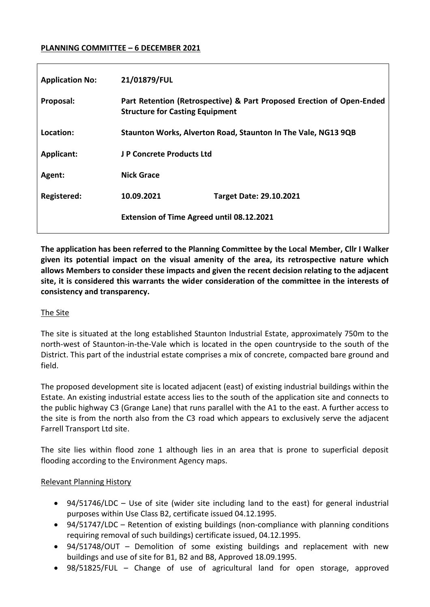### **PLANNING COMMITTEE – 6 DECEMBER 2021**

| <b>Application No:</b> | 21/01879/FUL                                                                                                    |
|------------------------|-----------------------------------------------------------------------------------------------------------------|
| Proposal:              | Part Retention (Retrospective) & Part Proposed Erection of Open-Ended<br><b>Structure for Casting Equipment</b> |
| Location:              | Staunton Works, Alverton Road, Staunton In The Vale, NG13 9QB                                                   |
| Applicant:             | J P Concrete Products Ltd                                                                                       |
| Agent:                 | <b>Nick Grace</b>                                                                                               |
| Registered:            | 10.09.2021<br><b>Target Date: 29.10.2021</b>                                                                    |
|                        | <b>Extension of Time Agreed until 08.12.2021</b>                                                                |
|                        |                                                                                                                 |

**The application has been referred to the Planning Committee by the Local Member, Cllr I Walker given its potential impact on the visual amenity of the area, its retrospective nature which allows Members to consider these impacts and given the recent decision relating to the adjacent site, it is considered this warrants the wider consideration of the committee in the interests of consistency and transparency.** 

### The Site

The site is situated at the long established Staunton Industrial Estate, approximately 750m to the north-west of Staunton-in-the-Vale which is located in the open countryside to the south of the District. This part of the industrial estate comprises a mix of concrete, compacted bare ground and field.

The proposed development site is located adjacent (east) of existing industrial buildings within the Estate. An existing industrial estate access lies to the south of the application site and connects to the public highway C3 (Grange Lane) that runs parallel with the A1 to the east. A further access to the site is from the north also from the C3 road which appears to exclusively serve the adjacent Farrell Transport Ltd site.

The site lies within flood zone 1 although lies in an area that is prone to superficial deposit flooding according to the Environment Agency maps.

### Relevant Planning History

- 94/51746/LDC Use of site (wider site including land to the east) for general industrial purposes within Use Class B2, certificate issued 04.12.1995.
- 94/51747/LDC Retention of existing buildings (non-compliance with planning conditions requiring removal of such buildings) certificate issued, 04.12.1995.
- 94/51748/OUT Demolition of some existing buildings and replacement with new buildings and use of site for B1, B2 and B8, Approved 18.09.1995.
- 98/51825/FUL Change of use of agricultural land for open storage, approved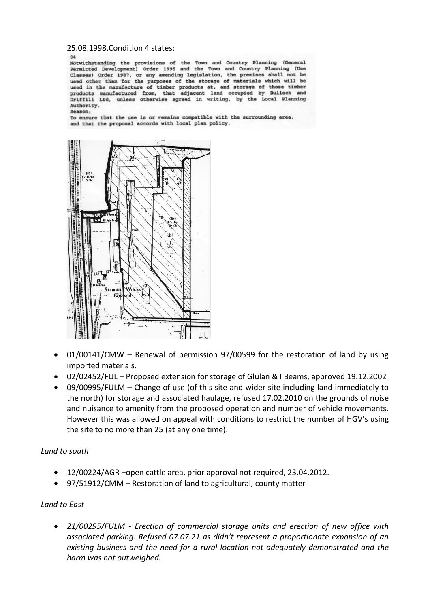25.08.1998.Condition 4 states:

 $04$ 

Notwithstanding the provisions of the Town and Country Planning (General Permitted Development) Order 1995 and the Town and Country Planning (Use Classes) Order 1987, or any amending legislation, the premises shall not be used other than for the purposes of the storage of materials which will be used in the manufacture of timber products at, and storage of those timber products manufactured from, that adjacent land occupied by Bullock and Driffill Ltd, unless otherwise agreed in writing, by the Local Planning Authority.

Reason:

To ensure that the use is or remains compatible with the surrounding area, and that the proposal accords with local plan policy.



- 01/00141/CMW Renewal of permission 97/00599 for the restoration of land by using imported materials.
- 02/02452/FUL Proposed extension for storage of Glulan & I Beams, approved 19.12.2002
- 09/00995/FULM Change of use (of this site and wider site including land immediately to the north) for storage and associated haulage, refused 17.02.2010 on the grounds of noise and nuisance to amenity from the proposed operation and number of vehicle movements. However this was allowed on appeal with conditions to restrict the number of HGV's using the site to no more than 25 (at any one time).

### *Land to south*

- 12/00224/AGR –open cattle area, prior approval not required, 23.04.2012.
- 97/51912/CMM Restoration of land to agricultural, county matter

### *Land to East*

 *21/00295/FULM - Erection of commercial storage units and erection of new office with associated parking. Refused 07.07.21 as didn't represent a proportionate expansion of an existing business and the need for a rural location not adequately demonstrated and the harm was not outweighed.*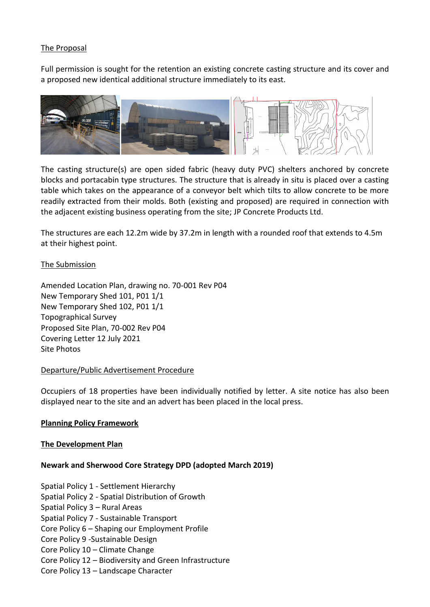### The Proposal

Full permission is sought for the retention an existing concrete casting structure and its cover and a proposed new identical additional structure immediately to its east.



The casting structure(s) are open sided fabric (heavy duty PVC) shelters anchored by concrete blocks and portacabin type structures. The structure that is already in situ is placed over a casting table which takes on the appearance of a conveyor belt which tilts to allow concrete to be more readily extracted from their molds. Both (existing and proposed) are required in connection with the adjacent existing business operating from the site; JP Concrete Products Ltd.

The structures are each 12.2m wide by 37.2m in length with a rounded roof that extends to 4.5m at their highest point.

### The Submission

Amended Location Plan, drawing no. 70-001 Rev P04 New Temporary Shed 101, P01 1/1 New Temporary Shed 102, P01 1/1 Topographical Survey Proposed Site Plan, 70-002 Rev P04 Covering Letter 12 July 2021 Site Photos

### Departure/Public Advertisement Procedure

Occupiers of 18 properties have been individually notified by letter. A site notice has also been displayed near to the site and an advert has been placed in the local press.

### **Planning Policy Framework**

### **The Development Plan**

### **Newark and Sherwood Core Strategy DPD (adopted March 2019)**

Spatial Policy 1 - Settlement Hierarchy

- Spatial Policy 2 Spatial Distribution of Growth
- Spatial Policy 3 Rural Areas
- Spatial Policy 7 Sustainable Transport
- Core Policy 6 Shaping our Employment Profile
- Core Policy 9 -Sustainable Design
- Core Policy 10 Climate Change
- Core Policy 12 Biodiversity and Green Infrastructure
- Core Policy 13 Landscape Character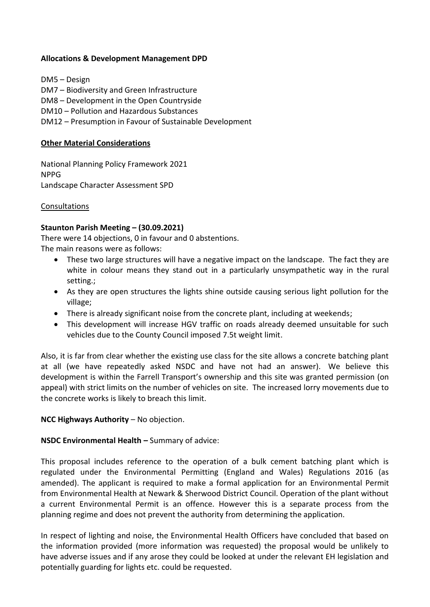### **Allocations & Development Management DPD**

DM5 – Design DM7 – Biodiversity and Green Infrastructure DM8 – Development in the Open Countryside DM10 – Pollution and Hazardous Substances DM12 – Presumption in Favour of Sustainable Development

### **Other Material Considerations**

National Planning Policy Framework 2021 NPPG Landscape Character Assessment SPD

#### Consultations

### **Staunton Parish Meeting – (30.09.2021)**

There were 14 objections, 0 in favour and 0 abstentions. The main reasons were as follows:

- These two large structures will have a negative impact on the landscape. The fact they are white in colour means they stand out in a particularly unsympathetic way in the rural setting.;
- As they are open structures the lights shine outside causing serious light pollution for the village;
- There is already significant noise from the concrete plant, including at weekends;
- This development will increase HGV traffic on roads already deemed unsuitable for such vehicles due to the County Council imposed 7.5t weight limit.

Also, it is far from clear whether the existing use class for the site allows a concrete batching plant at all (we have repeatedly asked NSDC and have not had an answer). We believe this development is within the Farrell Transport's ownership and this site was granted permission (on appeal) with strict limits on the number of vehicles on site. The increased lorry movements due to the concrete works is likely to breach this limit.

### **NCC Highways Authority** – No objection.

### **NSDC Environmental Health –** Summary of advice:

This proposal includes reference to the operation of a bulk cement batching plant which is regulated under the Environmental Permitting (England and Wales) Regulations 2016 (as amended). The applicant is required to make a formal application for an Environmental Permit from Environmental Health at Newark & Sherwood District Council. Operation of the plant without a current Environmental Permit is an offence. However this is a separate process from the planning regime and does not prevent the authority from determining the application.

In respect of lighting and noise, the Environmental Health Officers have concluded that based on the information provided (more information was requested) the proposal would be unlikely to have adverse issues and if any arose they could be looked at under the relevant EH legislation and potentially guarding for lights etc. could be requested.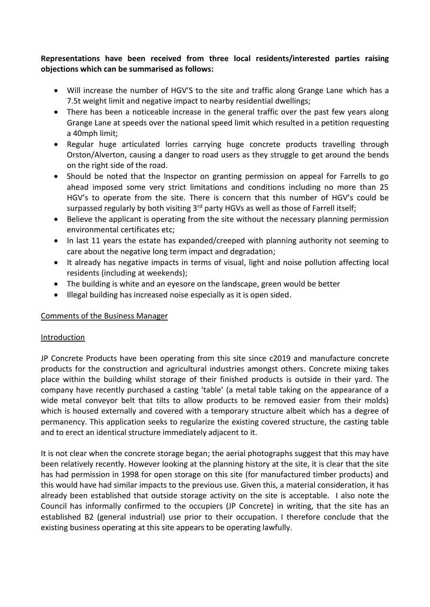# **Representations have been received from three local residents/interested parties raising objections which can be summarised as follows:**

- Will increase the number of HGV'S to the site and traffic along Grange Lane which has a 7.5t weight limit and negative impact to nearby residential dwellings;
- There has been a noticeable increase in the general traffic over the past few years along Grange Lane at speeds over the national speed limit which resulted in a petition requesting a 40mph limit;
- Regular huge articulated lorries carrying huge concrete products travelling through Orston/Alverton, causing a danger to road users as they struggle to get around the bends on the right side of the road.
- Should be noted that the Inspector on granting permission on appeal for Farrells to go ahead imposed some very strict limitations and conditions including no more than 25 HGV's to operate from the site. There is concern that this number of HGV's could be surpassed regularly by both visiting 3<sup>rd</sup> party HGVs as well as those of Farrell itself;
- Believe the applicant is operating from the site without the necessary planning permission environmental certificates etc;
- In last 11 years the estate has expanded/creeped with planning authority not seeming to care about the negative long term impact and degradation;
- It already has negative impacts in terms of visual, light and noise pollution affecting local residents (including at weekends);
- The building is white and an eyesore on the landscape, green would be better
- Illegal building has increased noise especially as it is open sided.

# Comments of the Business Manager

# Introduction

JP Concrete Products have been operating from this site since c2019 and manufacture concrete products for the construction and agricultural industries amongst others. Concrete mixing takes place within the building whilst storage of their finished products is outside in their yard. The company have recently purchased a casting 'table' (a metal table taking on the appearance of a wide metal conveyor belt that tilts to allow products to be removed easier from their molds) which is housed externally and covered with a temporary structure albeit which has a degree of permanency. This application seeks to regularize the existing covered structure, the casting table and to erect an identical structure immediately adjacent to it.

It is not clear when the concrete storage began; the aerial photographs suggest that this may have been relatively recently. However looking at the planning history at the site, it is clear that the site has had permission in 1998 for open storage on this site (for manufactured timber products) and this would have had similar impacts to the previous use. Given this, a material consideration, it has already been established that outside storage activity on the site is acceptable. I also note the Council has informally confirmed to the occupiers (JP Concrete) in writing, that the site has an established B2 (general industrial) use prior to their occupation. I therefore conclude that the existing business operating at this site appears to be operating lawfully.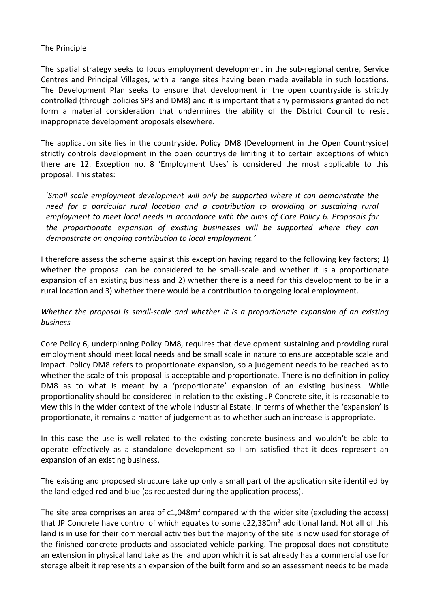### The Principle

The spatial strategy seeks to focus employment development in the sub-regional centre, Service Centres and Principal Villages, with a range sites having been made available in such locations. The Development Plan seeks to ensure that development in the open countryside is strictly controlled (through policies SP3 and DM8) and it is important that any permissions granted do not form a material consideration that undermines the ability of the District Council to resist inappropriate development proposals elsewhere.

The application site lies in the countryside. Policy DM8 (Development in the Open Countryside) strictly controls development in the open countryside limiting it to certain exceptions of which there are 12. Exception no. 8 'Employment Uses' is considered the most applicable to this proposal. This states:

'*Small scale employment development will only be supported where it can demonstrate the need for a particular rural location and a contribution to providing or sustaining rural employment to meet local needs in accordance with the aims of Core Policy 6. Proposals for the proportionate expansion of existing businesses will be supported where they can demonstrate an ongoing contribution to local employment.'*

I therefore assess the scheme against this exception having regard to the following key factors; 1) whether the proposal can be considered to be small-scale and whether it is a proportionate expansion of an existing business and 2) whether there is a need for this development to be in a rural location and 3) whether there would be a contribution to ongoing local employment.

# *Whether the proposal is small-scale and whether it is a proportionate expansion of an existing business*

Core Policy 6, underpinning Policy DM8, requires that development sustaining and providing rural employment should meet local needs and be small scale in nature to ensure acceptable scale and impact. Policy DM8 refers to proportionate expansion, so a judgement needs to be reached as to whether the scale of this proposal is acceptable and proportionate. There is no definition in policy DM8 as to what is meant by a 'proportionate' expansion of an existing business. While proportionality should be considered in relation to the existing JP Concrete site, it is reasonable to view this in the wider context of the whole Industrial Estate. In terms of whether the 'expansion' is proportionate, it remains a matter of judgement as to whether such an increase is appropriate.

In this case the use is well related to the existing concrete business and wouldn't be able to operate effectively as a standalone development so I am satisfied that it does represent an expansion of an existing business.

The existing and proposed structure take up only a small part of the application site identified by the land edged red and blue (as requested during the application process).

The site area comprises an area of  $c1,048m<sup>2</sup>$  compared with the wider site (excluding the access) that JP Concrete have control of which equates to some c22,380m² additional land. Not all of this land is in use for their commercial activities but the majority of the site is now used for storage of the finished concrete products and associated vehicle parking. The proposal does not constitute an extension in physical land take as the land upon which it is sat already has a commercial use for storage albeit it represents an expansion of the built form and so an assessment needs to be made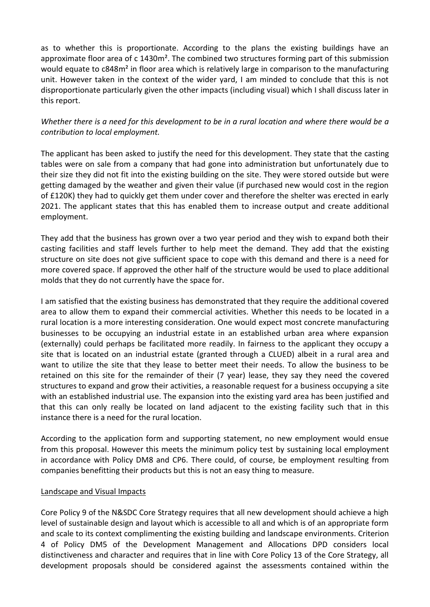as to whether this is proportionate. According to the plans the existing buildings have an approximate floor area of c 1430m<sup>2</sup>. The combined two structures forming part of this submission would equate to c848m<sup>2</sup> in floor area which is relatively large in comparison to the manufacturing unit. However taken in the context of the wider yard, I am minded to conclude that this is not disproportionate particularly given the other impacts (including visual) which I shall discuss later in this report.

# *Whether there is a need for this development to be in a rural location and where there would be a contribution to local employment.*

The applicant has been asked to justify the need for this development. They state that the casting tables were on sale from a company that had gone into administration but unfortunately due to their size they did not fit into the existing building on the site. They were stored outside but were getting damaged by the weather and given their value (if purchased new would cost in the region of £120K) they had to quickly get them under cover and therefore the shelter was erected in early 2021. The applicant states that this has enabled them to increase output and create additional employment.

They add that the business has grown over a two year period and they wish to expand both their casting facilities and staff levels further to help meet the demand. They add that the existing structure on site does not give sufficient space to cope with this demand and there is a need for more covered space. If approved the other half of the structure would be used to place additional molds that they do not currently have the space for.

I am satisfied that the existing business has demonstrated that they require the additional covered area to allow them to expand their commercial activities. Whether this needs to be located in a rural location is a more interesting consideration. One would expect most concrete manufacturing businesses to be occupying an industrial estate in an established urban area where expansion (externally) could perhaps be facilitated more readily. In fairness to the applicant they occupy a site that is located on an industrial estate (granted through a CLUED) albeit in a rural area and want to utilize the site that they lease to better meet their needs. To allow the business to be retained on this site for the remainder of their (7 year) lease, they say they need the covered structures to expand and grow their activities, a reasonable request for a business occupying a site with an established industrial use. The expansion into the existing yard area has been justified and that this can only really be located on land adjacent to the existing facility such that in this instance there is a need for the rural location.

According to the application form and supporting statement, no new employment would ensue from this proposal. However this meets the minimum policy test by sustaining local employment in accordance with Policy DM8 and CP6. There could, of course, be employment resulting from companies benefitting their products but this is not an easy thing to measure.

### Landscape and Visual Impacts

Core Policy 9 of the N&SDC Core Strategy requires that all new development should achieve a high level of sustainable design and layout which is accessible to all and which is of an appropriate form and scale to its context complimenting the existing building and landscape environments. Criterion 4 of Policy DM5 of the Development Management and Allocations DPD considers local distinctiveness and character and requires that in line with Core Policy 13 of the Core Strategy, all development proposals should be considered against the assessments contained within the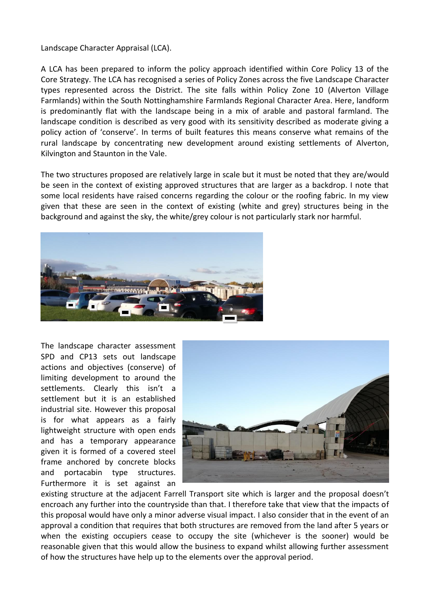Landscape Character Appraisal (LCA).

A LCA has been prepared to inform the policy approach identified within Core Policy 13 of the Core Strategy. The LCA has recognised a series of Policy Zones across the five Landscape Character types represented across the District. The site falls within Policy Zone 10 (Alverton Village Farmlands) within the South Nottinghamshire Farmlands Regional Character Area. Here, landform is predominantly flat with the landscape being in a mix of arable and pastoral farmland. The landscape condition is described as very good with its sensitivity described as moderate giving a policy action of 'conserve'. In terms of built features this means conserve what remains of the rural landscape by concentrating new development around existing settlements of Alverton, Kilvington and Staunton in the Vale.

The two structures proposed are relatively large in scale but it must be noted that they are/would be seen in the context of existing approved structures that are larger as a backdrop. I note that some local residents have raised concerns regarding the colour or the roofing fabric. In my view given that these are seen in the context of existing (white and grey) structures being in the background and against the sky, the white/grey colour is not particularly stark nor harmful.



The landscape character assessment SPD and CP13 sets out landscape actions and objectives (conserve) of limiting development to around the settlements. Clearly this isn't a settlement but it is an established industrial site. However this proposal is for what appears as a fairly lightweight structure with open ends and has a temporary appearance given it is formed of a covered steel frame anchored by concrete blocks and portacabin type structures. Furthermore it is set against an



existing structure at the adjacent Farrell Transport site which is larger and the proposal doesn't encroach any further into the countryside than that. I therefore take that view that the impacts of this proposal would have only a minor adverse visual impact. I also consider that in the event of an approval a condition that requires that both structures are removed from the land after 5 years or when the existing occupiers cease to occupy the site (whichever is the sooner) would be reasonable given that this would allow the business to expand whilst allowing further assessment of how the structures have help up to the elements over the approval period.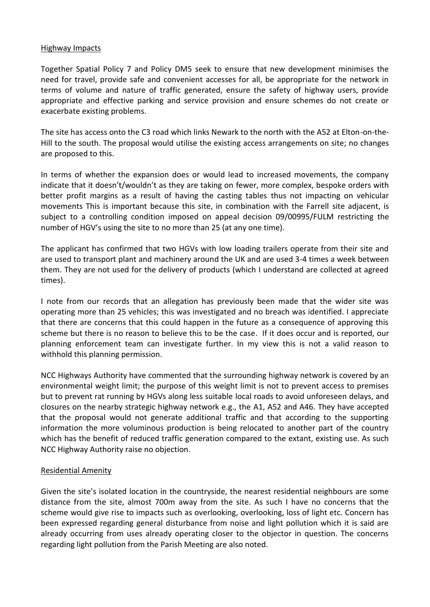#### Highway Impacts

Together Spatial Policy 7 and Policy DM5 seek to ensure that new development minimises the need for travel, provide safe and convenient accesses for all, be appropriate for the network in terms of volume and nature of traffic generated, ensure the safety of highway users, provide appropriate and effective parking and service provision and ensure schemes do not create or exacerbate existing problems.

The site has access onto the C3 road which links Newark to the north with the A52 at Elton-on-the-Hill to the south. The proposal would utilise the existing access arrangements on site; no changes are proposed to this.

In terms of whether the expansion does or would lead to increased movements, the company indicate that it doesn't/wouldn't as they are taking on fewer, more complex, bespoke orders with better profit margins as a result of having the casting tables thus not impacting on vehicular movements This is important because this site, in combination with the Farrell site adjacent, is subject to a controlling condition imposed on appeal decision 09/00995/FULM restricting the number of HGV's using the site to no more than 25 (at any one time).

The applicant has confirmed that two HGVs with low loading trailers operate from their site and are used to transport plant and machinery around the UK and are used 3-4 times a week between them. They are not used for the delivery of products (which I understand are collected at agreed times).

I note from our records that an allegation has previously been made that the wider site was operating more than 25 vehicles; this was investigated and no breach was identified. I appreciate that there are concerns that this could happen in the future as a consequence of approving this scheme but there is no reason to believe this to be the case. If it does occur and is reported, our planning enforcement team can investigate further. In my view this is not a valid reason to withhold this planning permission.

NCC Highways Authority have commented that the surrounding highway network is covered by an environmental weight limit; the purpose of this weight limit is not to prevent access to premises but to prevent rat running by HGVs along less suitable local roads to avoid unforeseen delays, and closures on the nearby strategic highway network e.g., the A1, A52 and A46. They have accepted that the proposal would not generate additional traffic and that according to the supporting information the more voluminous production is being relocated to another part of the country which has the benefit of reduced traffic generation compared to the extant, existing use. As such NCC Highway Authority raise no objection.

### Residential Amenity

Given the site's isolated location in the countryside, the nearest residential neighbours are some distance from the site, almost 700m away from the site. As such I have no concerns that the scheme would give rise to impacts such as overlooking, overlooking, loss of light etc. Concern has been expressed regarding general disturbance from noise and light pollution which it is said are already occurring from uses already operating closer to the objector in question. The concerns regarding light pollution from the Parish Meeting are also noted.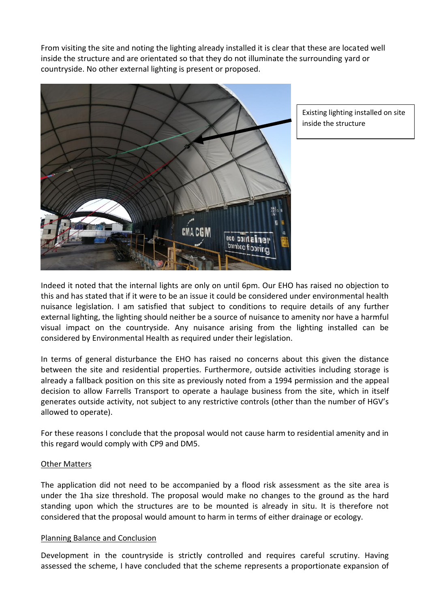From visiting the site and noting the lighting already installed it is clear that these are located well inside the structure and are orientated so that they do not illuminate the surrounding yard or countryside. No other external lighting is present or proposed.



Existing lighting installed on site inside the structure

Indeed it noted that the internal lights are only on until 6pm. Our EHO has raised no objection to this and has stated that if it were to be an issue it could be considered under environmental health nuisance legislation. I am satisfied that subject to conditions to require details of any further external lighting, the lighting should neither be a source of nuisance to amenity nor have a harmful visual impact on the countryside. Any nuisance arising from the lighting installed can be considered by Environmental Health as required under their legislation.

In terms of general disturbance the EHO has raised no concerns about this given the distance between the site and residential properties. Furthermore, outside activities including storage is already a fallback position on this site as previously noted from a 1994 permission and the appeal decision to allow Farrells Transport to operate a haulage business from the site, which in itself generates outside activity, not subject to any restrictive controls (other than the number of HGV's allowed to operate).

For these reasons I conclude that the proposal would not cause harm to residential amenity and in this regard would comply with CP9 and DM5.

### Other Matters

The application did not need to be accompanied by a flood risk assessment as the site area is under the 1ha size threshold. The proposal would make no changes to the ground as the hard standing upon which the structures are to be mounted is already in situ. It is therefore not considered that the proposal would amount to harm in terms of either drainage or ecology.

### Planning Balance and Conclusion

Development in the countryside is strictly controlled and requires careful scrutiny. Having assessed the scheme, I have concluded that the scheme represents a proportionate expansion of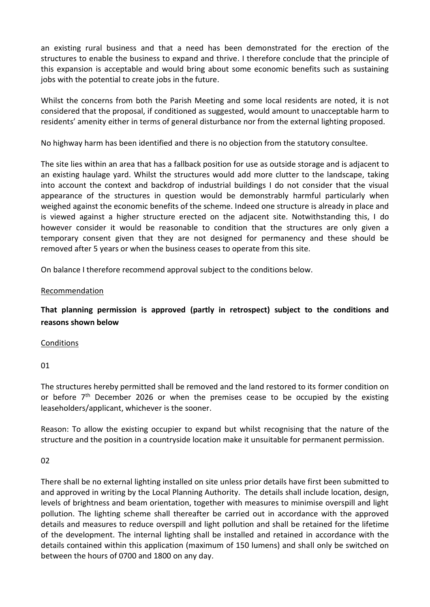an existing rural business and that a need has been demonstrated for the erection of the structures to enable the business to expand and thrive. I therefore conclude that the principle of this expansion is acceptable and would bring about some economic benefits such as sustaining jobs with the potential to create jobs in the future.

Whilst the concerns from both the Parish Meeting and some local residents are noted, it is not considered that the proposal, if conditioned as suggested, would amount to unacceptable harm to residents' amenity either in terms of general disturbance nor from the external lighting proposed.

No highway harm has been identified and there is no objection from the statutory consultee.

The site lies within an area that has a fallback position for use as outside storage and is adjacent to an existing haulage yard. Whilst the structures would add more clutter to the landscape, taking into account the context and backdrop of industrial buildings I do not consider that the visual appearance of the structures in question would be demonstrably harmful particularly when weighed against the economic benefits of the scheme. Indeed one structure is already in place and is viewed against a higher structure erected on the adjacent site. Notwithstanding this, I do however consider it would be reasonable to condition that the structures are only given a temporary consent given that they are not designed for permanency and these should be removed after 5 years or when the business ceases to operate from this site.

On balance I therefore recommend approval subject to the conditions below.

### Recommendation

**That planning permission is approved (partly in retrospect) subject to the conditions and reasons shown below**

### **Conditions**

01

The structures hereby permitted shall be removed and the land restored to its former condition on or before  $7<sup>th</sup>$  December 2026 or when the premises cease to be occupied by the existing leaseholders/applicant, whichever is the sooner.

Reason: To allow the existing occupier to expand but whilst recognising that the nature of the structure and the position in a countryside location make it unsuitable for permanent permission.

### 02

There shall be no external lighting installed on site unless prior details have first been submitted to and approved in writing by the Local Planning Authority. The details shall include location, design, levels of brightness and beam orientation, together with measures to minimise overspill and light pollution. The lighting scheme shall thereafter be carried out in accordance with the approved details and measures to reduce overspill and light pollution and shall be retained for the lifetime of the development. The internal lighting shall be installed and retained in accordance with the details contained within this application (maximum of 150 lumens) and shall only be switched on between the hours of 0700 and 1800 on any day.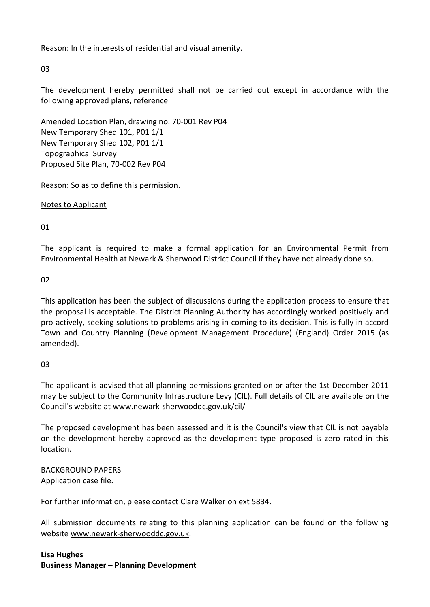Reason: In the interests of residential and visual amenity.

03

The development hereby permitted shall not be carried out except in accordance with the following approved plans, reference

Amended Location Plan, drawing no. 70-001 Rev P04 New Temporary Shed 101, P01 1/1 New Temporary Shed 102, P01 1/1 Topographical Survey Proposed Site Plan, 70-002 Rev P04

Reason: So as to define this permission.

Notes to Applicant

01

The applicant is required to make a formal application for an Environmental Permit from Environmental Health at Newark & Sherwood District Council if they have not already done so.

02

This application has been the subject of discussions during the application process to ensure that the proposal is acceptable. The District Planning Authority has accordingly worked positively and pro-actively, seeking solutions to problems arising in coming to its decision. This is fully in accord Town and Country Planning (Development Management Procedure) (England) Order 2015 (as amended).

03

The applicant is advised that all planning permissions granted on or after the 1st December 2011 may be subject to the Community Infrastructure Levy (CIL). Full details of CIL are available on the Council's website at www.newark-sherwooddc.gov.uk/cil/

The proposed development has been assessed and it is the Council's view that CIL is not payable on the development hereby approved as the development type proposed is zero rated in this location.

BACKGROUND PAPERS

Application case file.

For further information, please contact Clare Walker on ext 5834.

All submission documents relating to this planning application can be found on the following websit[e www.newark-sherwooddc.gov.uk.](http://www.newark-sherwooddc.gov.uk/)

# **Lisa Hughes Business Manager – Planning Development**